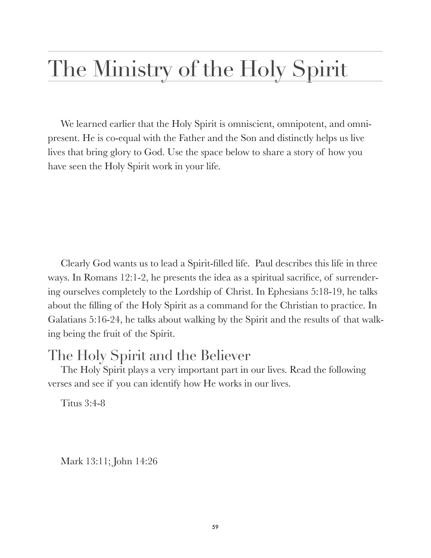## The Ministry of the Holy Spirit

We learned earlier that the Holy Spirit is omniscient, omnipotent, and omnipresent. He is co-equal with the Father and the Son and distinctly helps us live lives that bring glory to God. Use the space below to share a story of how you have seen the Holy Spirit work in your life.

Clearly God wants us to lead a Spirit-filled life. Paul describes this life in three ways. In Romans 12:1-2, he presents the idea as a spiritual sacrifice, of surrendering ourselves completely to the Lordship of Christ. In Ephesians 5:18-19, he talks about the filling of the Holy Spirit as a command for the Christian to practice. In Galatians 5:16-24, he talks about walking by the Spirit and the results of that walking being the fruit of the Spirit.

## The Holy Spirit and the Believer

The Holy Spirit plays a very important part in our lives. Read the following verses and see if you can identify how He works in our lives.

Titus 3:4-8

Mark 13:11; John 14:26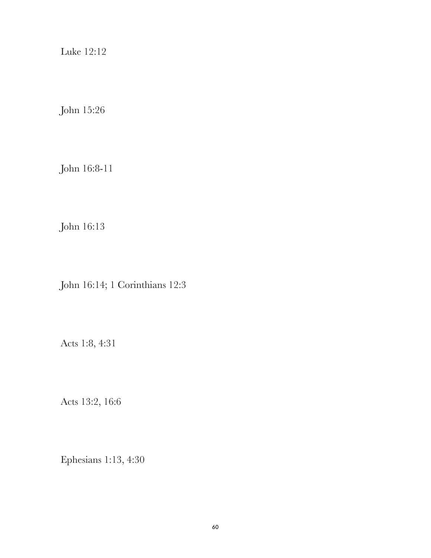Luke 12:12

John 15:26

John 16:8-11

John 16:13

John 16:14; 1 Corinthians 12:3

Acts 1:8, 4:31

Acts 13:2, 16:6

Ephesians 1:13, 4:30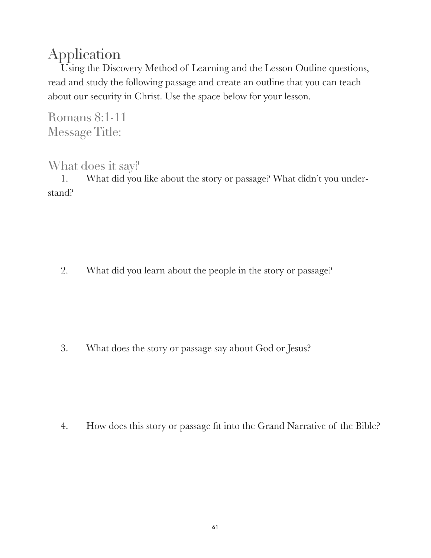## Application

Using the Discovery Method of Learning and the Lesson Outline questions, read and study the following passage and create an outline that you can teach about our security in Christ. Use the space below for your lesson.

Romans 8:1-11 Message Title:

## What does it say?

1. What did you like about the story or passage? What didn't you understand?

2. What did you learn about the people in the story or passage?

3. What does the story or passage say about God or Jesus?

4. How does this story or passage fit into the Grand Narrative of the Bible?